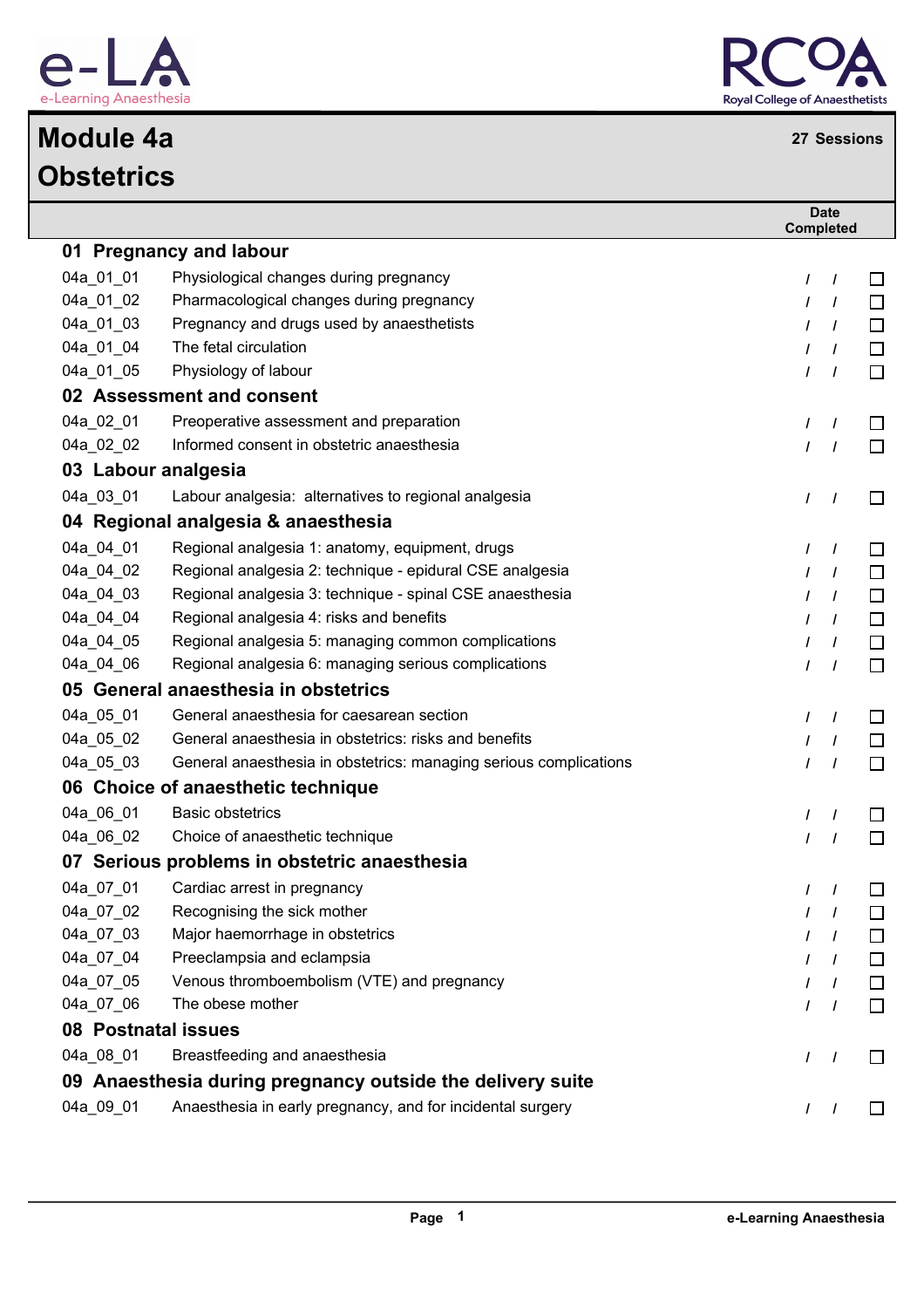

## **Obstetrics Module 4a <sup>27</sup> Sessions**



|                     |                                                                   | <b>Completed</b> | <b>Date</b>    |        |
|---------------------|-------------------------------------------------------------------|------------------|----------------|--------|
|                     | 01 Pregnancy and labour                                           |                  |                |        |
| 04a_01_01           | Physiological changes during pregnancy                            | $\prime$         | $\prime$       | $\Box$ |
| 04a_01_02           | Pharmacological changes during pregnancy                          | $\prime$         | $\prime$       | □      |
| 04a_01_03           | Pregnancy and drugs used by anaesthetists                         | $\prime$         | $\overline{1}$ | $\Box$ |
| 04a_01_04           | The fetal circulation                                             | $\prime$         | $\frac{1}{2}$  | □      |
| 04a_01_05           | Physiology of labour                                              | $\prime$         | $\prime$       | $\Box$ |
|                     | 02 Assessment and consent                                         |                  |                |        |
| 04a_02_01           | Preoperative assessment and preparation                           | $\prime$         | $\prime$       | $\Box$ |
| 04a_02_02           | Informed consent in obstetric anaesthesia                         | $\prime$         | $\prime$       | $\Box$ |
| 03 Labour analgesia |                                                                   |                  |                |        |
| 04a_03_01           | Labour analgesia: alternatives to regional analgesia              | $\overline{I}$   | $\prime$       | □      |
|                     | 04 Regional analgesia & anaesthesia                               |                  |                |        |
| 04a_04_01           | Regional analgesia 1: anatomy, equipment, drugs                   | $\prime$         | $\prime$       | $\Box$ |
| 04a_04_02           | Regional analgesia 2: technique - epidural CSE analgesia          | $\prime$         | $\prime$       | □      |
| 04a_04_03           | Regional analgesia 3: technique - spinal CSE anaesthesia          | $\prime$         | $\prime$       | □      |
| 04a_04_04           | Regional analgesia 4: risks and benefits                          | T                | $\prime$       | □      |
| 04a_04_05           | Regional analgesia 5: managing common complications               | $\prime$         | $\overline{1}$ | $\Box$ |
| 04a_04_06           | Regional analgesia 6: managing serious complications              | $\prime$         | $\prime$       | □      |
|                     | 05 General anaesthesia in obstetrics                              |                  |                |        |
| 04a_05_01           | General anaesthesia for caesarean section                         | $\prime$         | $\prime$       | $\Box$ |
| 04a_05_02           | General anaesthesia in obstetrics: risks and benefits             | I                | $\prime$       | □      |
| 04a_05_03           | General anaesthesia in obstetrics: managing serious complications | $\prime$         | $\prime$       | $\Box$ |
|                     | 06 Choice of anaesthetic technique                                |                  |                |        |
| 04a 06 01           | <b>Basic obstetrics</b>                                           | $\prime$         | $\prime$       | ⊔      |
| 04a_06_02           | Choice of anaesthetic technique                                   | $\prime$         | $\prime$       | $\Box$ |
|                     | 07 Serious problems in obstetric anaesthesia                      |                  |                |        |
| 04a 07 01           | Cardiac arrest in pregnancy                                       | $\prime$         | $\frac{1}{2}$  | □      |
| 04a_07_02           | Recognising the sick mother                                       | I                | $\prime$       | ப      |
| 04a_07_03           | Major haemorrhage in obstetrics                                   |                  | $\prime$       | ப      |
| 04a_07_04           | Preeclampsia and eclampsia                                        |                  | $\prime$       | $\Box$ |
| 04a_07_05           | Venous thromboembolism (VTE) and pregnancy                        | T                | $\prime$       | □      |
| 04a_07_06           | The obese mother                                                  | $\prime$         | $\overline{1}$ | □      |
| 08 Postnatal issues |                                                                   |                  |                |        |
| 04a_08_01           | Breastfeeding and anaesthesia                                     | $\prime$         | $\prime$       | ப      |
|                     | 09 Anaesthesia during pregnancy outside the delivery suite        |                  |                |        |
| 04a_09_01           | Anaesthesia in early pregnancy, and for incidental surgery        | $\mathcal{L}$    |                |        |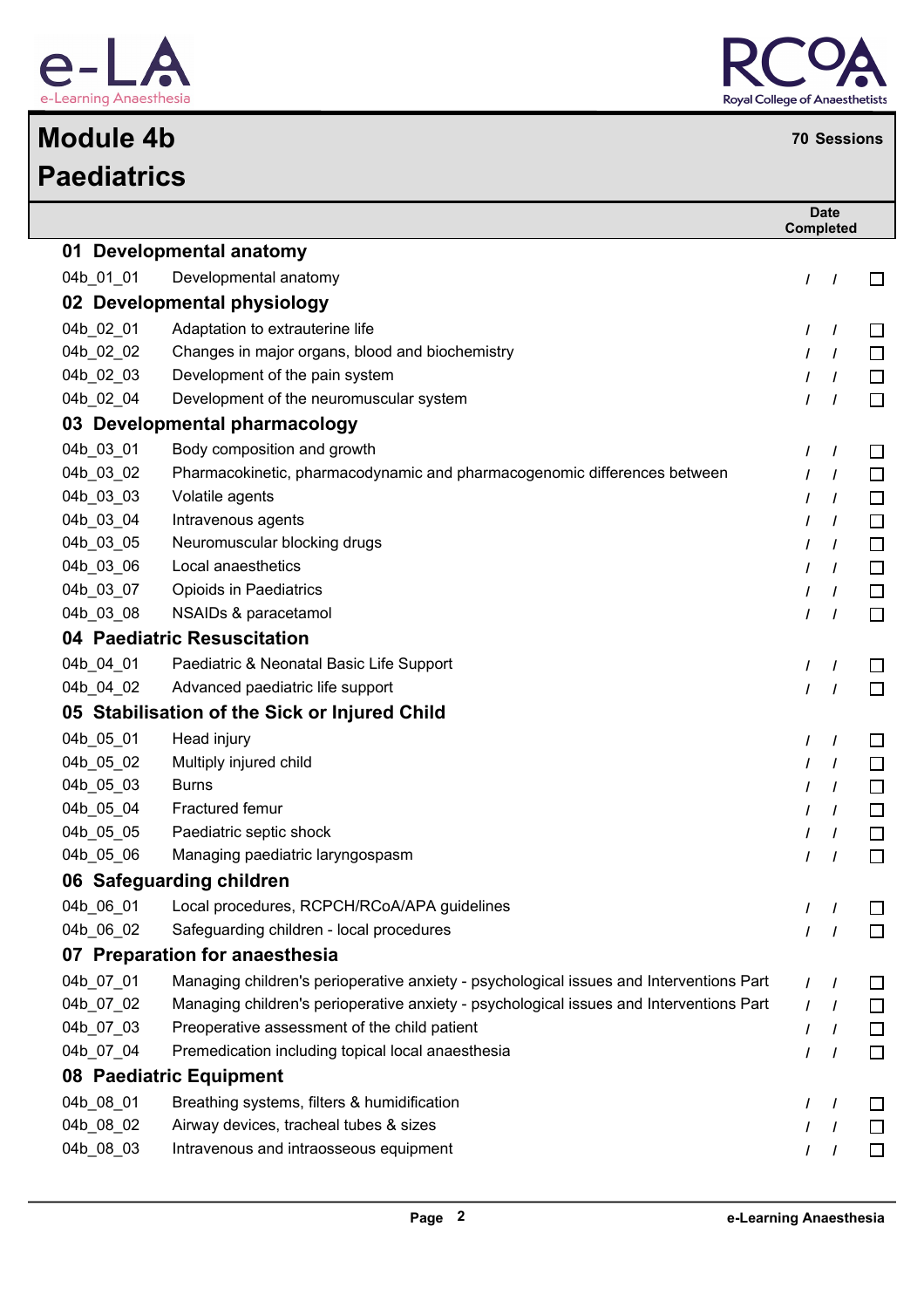

## **Paediatrics Module 4b <sup>70</sup> Sessions**

|           |                                                                                         | <b>Date</b><br><b>Completed</b> |          |        |
|-----------|-----------------------------------------------------------------------------------------|---------------------------------|----------|--------|
|           | 01 Developmental anatomy                                                                |                                 |          |        |
| 04b_01_01 | Developmental anatomy                                                                   | I                               | $\prime$ | $\Box$ |
|           | 02 Developmental physiology                                                             |                                 |          |        |
| 04b_02_01 | Adaptation to extrauterine life                                                         | I                               | $\prime$ | $\Box$ |
| 04b_02_02 | Changes in major organs, blood and biochemistry                                         | I                               | $\prime$ | $\Box$ |
| 04b_02_03 | Development of the pain system                                                          | I                               | $\prime$ | $\Box$ |
| 04b_02_04 | Development of the neuromuscular system                                                 | I                               | $\prime$ | $\Box$ |
|           | 03 Developmental pharmacology                                                           |                                 |          |        |
| 04b_03_01 | Body composition and growth                                                             | I                               | $\prime$ | □      |
| 04b_03_02 | Pharmacokinetic, pharmacodynamic and pharmacogenomic differences between                |                                 | $\prime$ | $\Box$ |
| 04b_03_03 | Volatile agents                                                                         | I                               | $\prime$ | $\Box$ |
| 04b_03_04 | Intravenous agents                                                                      | I                               | $\prime$ | $\Box$ |
| 04b_03_05 | Neuromuscular blocking drugs                                                            | I                               | $\prime$ | $\Box$ |
| 04b_03_06 | Local anaesthetics                                                                      | I                               | $\prime$ | $\Box$ |
| 04b_03_07 | <b>Opioids in Paediatrics</b>                                                           | I                               | $\prime$ | $\Box$ |
| 04b_03_08 | NSAIDs & paracetamol                                                                    | I                               | $\prime$ | $\Box$ |
|           | 04 Paediatric Resuscitation                                                             |                                 |          |        |
| 04b_04_01 | Paediatric & Neonatal Basic Life Support                                                | I                               | $\prime$ | □      |
| 04b_04_02 | Advanced paediatric life support                                                        | T                               | $\prime$ | □      |
|           | 05 Stabilisation of the Sick or Injured Child                                           |                                 |          |        |
| 04b_05_01 | Head injury                                                                             | $\prime$                        | $\prime$ | □      |
| 04b_05_02 | Multiply injured child                                                                  | I                               | $\prime$ | $\Box$ |
| 04b_05_03 | <b>Burns</b>                                                                            |                                 | $\prime$ | □      |
| 04b_05_04 | Fractured femur                                                                         |                                 | $\prime$ | $\Box$ |
| 04b_05_05 | Paediatric septic shock                                                                 | I                               | $\prime$ | $\Box$ |
| 04b_05_06 | Managing paediatric laryngospasm                                                        | I                               | $\prime$ | $\Box$ |
|           | 06 Safeguarding children                                                                |                                 |          |        |
| 04b_06_01 | Local procedures, RCPCH/RCoA/APA guidelines                                             | I                               | $\prime$ | ப      |
| 04b_06_02 | Safeguarding children - local procedures                                                | $\prime$                        | $\prime$ | $\Box$ |
|           | 07 Preparation for anaesthesia                                                          |                                 |          |        |
| 04b_07_01 | Managing children's perioperative anxiety - psychological issues and Interventions Part |                                 | $\prime$ | □      |
| 04b_07_02 | Managing children's perioperative anxiety - psychological issues and Interventions Part |                                 | $\prime$ | $\Box$ |
| 04b_07_03 | Preoperative assessment of the child patient                                            |                                 | $\prime$ | $\Box$ |
| 04b_07_04 | Premedication including topical local anaesthesia                                       |                                 | $\prime$ | $\Box$ |
|           | 08 Paediatric Equipment                                                                 |                                 |          |        |
| 04b_08_01 | Breathing systems, filters & humidification                                             | I                               | $\prime$ | ப      |
| 04b_08_02 | Airway devices, tracheal tubes & sizes                                                  |                                 |          | □      |
| 04b_08_03 | Intravenous and intraosseous equipment                                                  |                                 | $\prime$ | $\Box$ |
|           |                                                                                         |                                 |          |        |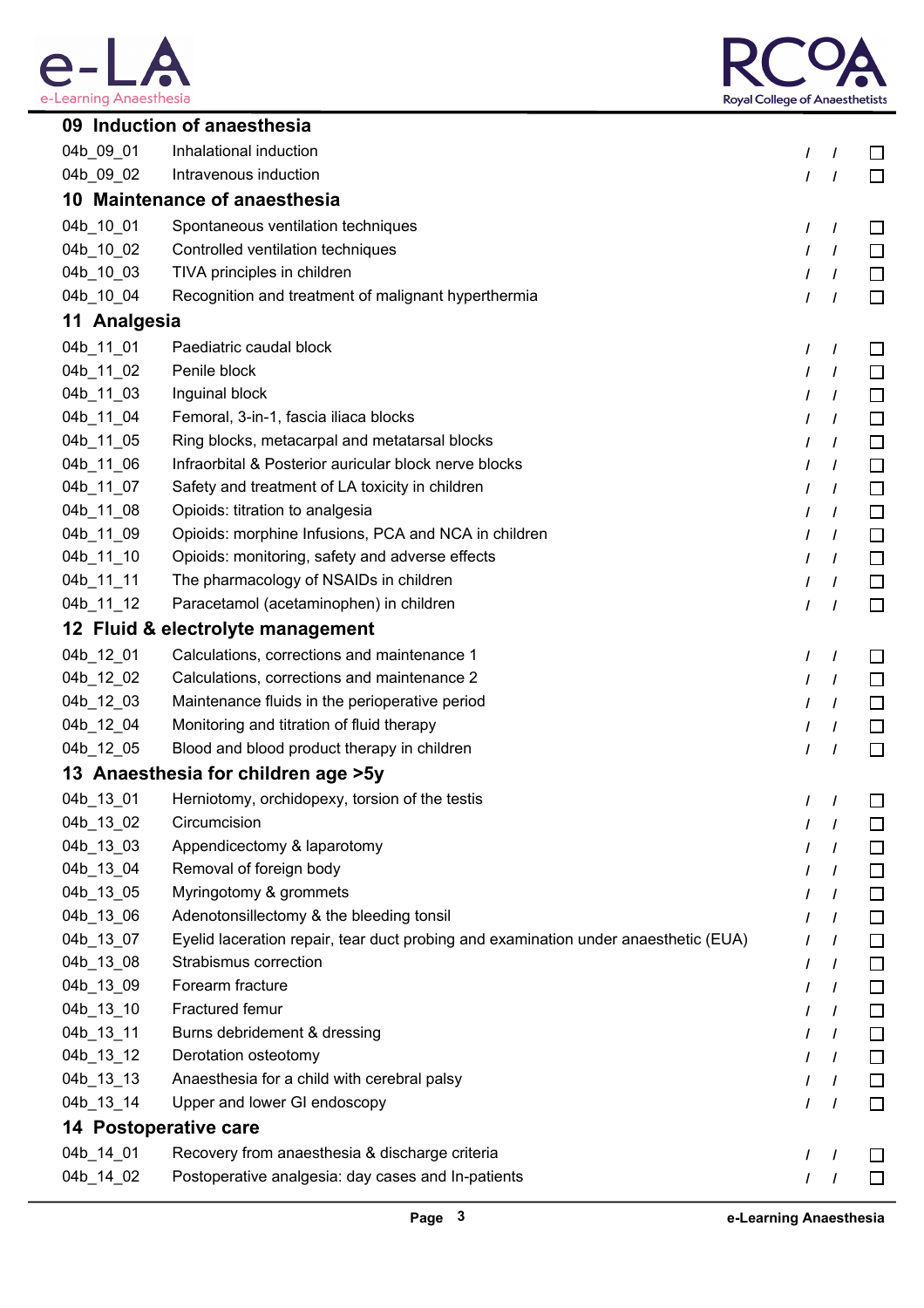



|              | 09 Induction of anaesthesia                                                                                  |          |                |        |
|--------------|--------------------------------------------------------------------------------------------------------------|----------|----------------|--------|
| 04b_09_01    | Inhalational induction                                                                                       | $\prime$ | $\prime$       | $\Box$ |
| 04b_09_02    | Intravenous induction                                                                                        | $\prime$ | $\overline{1}$ | $\Box$ |
|              | 10 Maintenance of anaesthesia                                                                                |          |                |        |
| 04b_10_01    | Spontaneous ventilation techniques                                                                           | $\prime$ | I              | □      |
| 04b_10_02    | Controlled ventilation techniques                                                                            | $\prime$ | $\prime$       | □      |
| 04b_10_03    | TIVA principles in children                                                                                  | $\prime$ | $\prime$       | $\Box$ |
| 04b_10_04    | Recognition and treatment of malignant hyperthermia                                                          | $\prime$ | $\prime$       | $\Box$ |
| 11 Analgesia |                                                                                                              |          |                |        |
| 04b_11_01    | Paediatric caudal block                                                                                      | $\prime$ | T              | $\Box$ |
| 04b_11_02    | Penile block                                                                                                 | $\prime$ | $\prime$       | □      |
| 04b_11_03    | Inguinal block                                                                                               | $\prime$ | $\prime$       | $\Box$ |
| 04b_11_04    | Femoral, 3-in-1, fascia iliaca blocks                                                                        | $\prime$ | $\prime$       | □      |
| 04b_11_05    | Ring blocks, metacarpal and metatarsal blocks                                                                | $\prime$ | $\prime$       | $\Box$ |
| 04b_11_06    | Infraorbital & Posterior auricular block nerve blocks                                                        | $\prime$ | $\prime$       | $\Box$ |
| 04b_11_07    | Safety and treatment of LA toxicity in children                                                              | $\prime$ | $\prime$       | $\Box$ |
| 04b_11_08    | Opioids: titration to analgesia                                                                              | $\prime$ | $\prime$       | □      |
| 04b_11_09    | Opioids: morphine Infusions, PCA and NCA in children                                                         | $\prime$ | $\prime$       | $\Box$ |
| 04b_11_10    | Opioids: monitoring, safety and adverse effects                                                              | $\prime$ | $\prime$       | □      |
| 04b_11_11    | The pharmacology of NSAIDs in children                                                                       | $\prime$ | $\prime$       | $\Box$ |
| 04b_11_12    | Paracetamol (acetaminophen) in children                                                                      | $\prime$ | $\prime$       | □      |
|              | 12 Fluid & electrolyte management                                                                            |          |                |        |
| 04b_12_01    | Calculations, corrections and maintenance 1                                                                  | $\prime$ | $\prime$       | $\Box$ |
| 04b_12_02    | Calculations, corrections and maintenance 2                                                                  | $\prime$ | $\prime$       | $\Box$ |
| 04b_12_03    | Maintenance fluids in the perioperative period                                                               | $\prime$ | $\prime$       | $\Box$ |
| 04b_12_04    | Monitoring and titration of fluid therapy                                                                    | I        | $\prime$       | $\Box$ |
| 04b_12_05    | Blood and blood product therapy in children                                                                  | $\prime$ | $\prime$       | $\Box$ |
|              | 13 Anaesthesia for children age >5y                                                                          |          |                |        |
| 04b 13 01    | Herniotomy, orchidopexy, torsion of the testis                                                               |          |                |        |
| 04b_13_02    | Circumcision                                                                                                 |          | $1 \quad 1$    | ⊔      |
| 04b_13_03    | Appendicectomy & laparotomy                                                                                  | I        | $\prime$       | ப      |
| 04b_13_04    | Removal of foreign body                                                                                      |          | $\prime$       | $\Box$ |
| 04b_13_05    | Myringotomy & grommets                                                                                       |          | $\prime$       | $\Box$ |
| 04b_13_06    |                                                                                                              |          | $\prime$       | $\Box$ |
|              | Adenotonsillectomy & the bleeding tonsil                                                                     |          | $\prime$       | $\Box$ |
| 04b_13_07    | Eyelid laceration repair, tear duct probing and examination under anaesthetic (EUA)<br>Strabismus correction |          | $\prime$       | $\Box$ |
| 04b_13_08    |                                                                                                              |          | $\prime$       | $\Box$ |
| 04b_13_09    | Forearm fracture                                                                                             |          | $\prime$       | $\Box$ |
| 04b_13_10    | Fractured femur                                                                                              |          | $\prime$       | $\Box$ |
| 04b_13_11    | Burns debridement & dressing                                                                                 |          | $\prime$       | $\Box$ |
| 04b_13_12    | Derotation osteotomy                                                                                         |          | $\overline{1}$ | $\Box$ |
| 04b_13_13    | Anaesthesia for a child with cerebral palsy                                                                  |          | $\prime$       | $\Box$ |
| 04b_13_14    | Upper and lower GI endoscopy                                                                                 | $\prime$ | $\overline{1}$ | $\Box$ |
|              | 14 Postoperative care                                                                                        |          |                |        |
| 04b_14_01    | Recovery from anaesthesia & discharge criteria                                                               | T        | $\prime$       |        |
| 04b_14_02    | Postoperative analgesia: day cases and In-patients                                                           |          | $\prime$       | □      |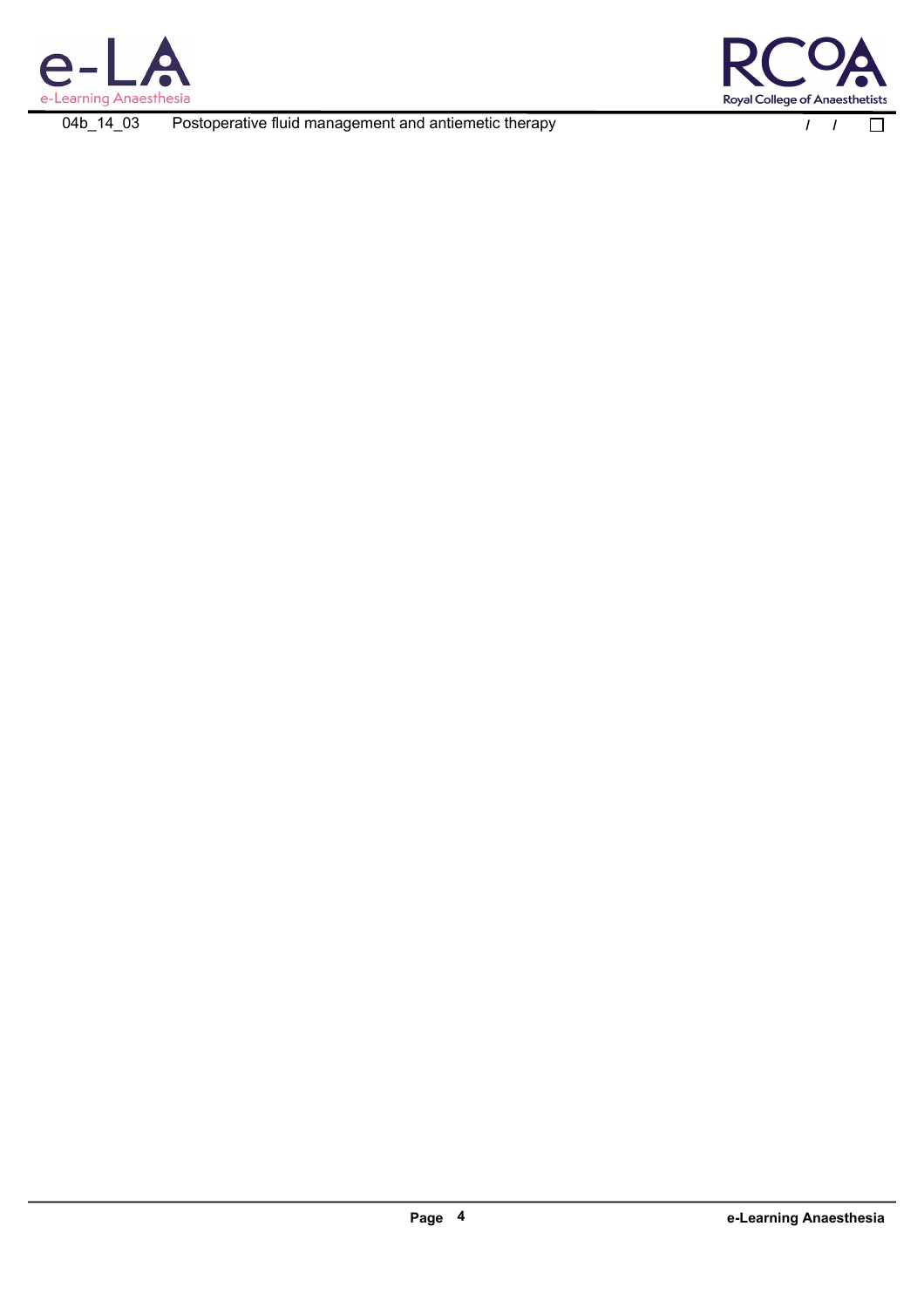

04b\_14\_03 Postoperative fluid management and antiemetic therapy **/ /**